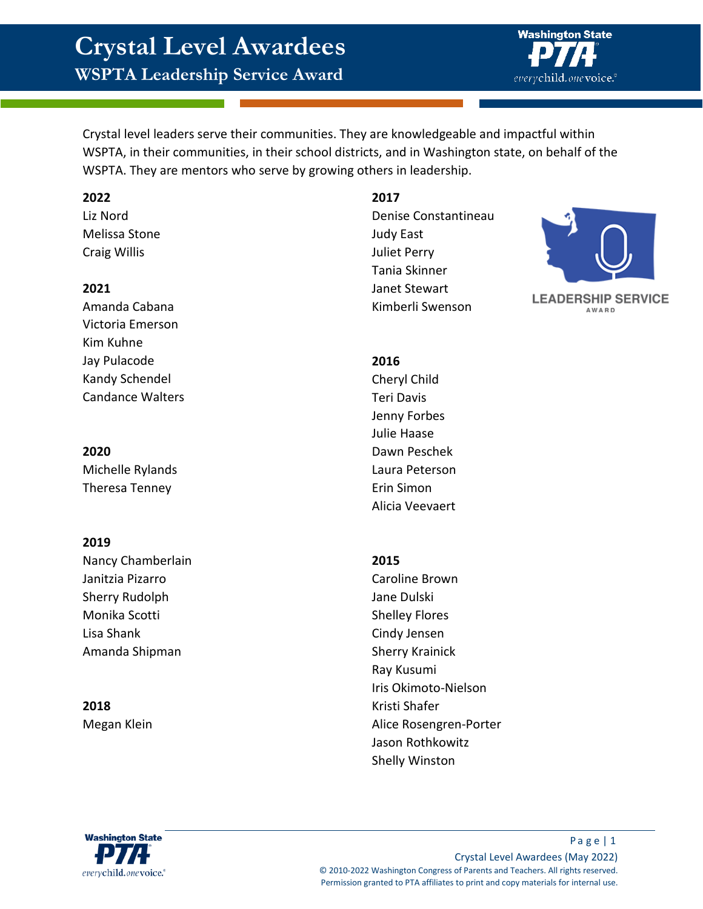# **Crystal Level Awardees**

**WSPTA Leadership Service Award**



Crystal level leaders serve their communities. They are knowledgeable and impactful within WSPTA, in their communities, in their school districts, and in Washington state, on behalf of the WSPTA. They are mentors who serve by growing others in leadership.

### **2022**

Liz Nord Melissa Stone Craig Willis

### **2021**

Amanda Cabana Victoria Emerson Kim Kuhne Jay Pulacode Kandy Schendel Candance Walters

## **2020**

Michelle Rylands Theresa Tenney

# **2019**

Nancy Chamberlain Janitzia Pizarro Sherry Rudolph Monika Scotti Lisa Shank Amanda Shipman

**2018** Megan Klein

# **2017**

Denise Constantineau Judy East Juliet Perry Tania Skinner Janet Stewart Kimberli Swenson



**LEADERSHIP SERVICE AWARD** 

# **2016**

Cheryl Child Teri Davis Jenny Forbes Julie Haase Dawn Peschek Laura Peterson Erin Simon Alicia Veevaert

### **2015**

Caroline Brown Jane Dulski Shelley Flores Cindy Jensen Sherry Krainick Ray Kusumi Iris Okimoto-Nielson Kristi Shafer Alice Rosengren-Porter Jason Rothkowitz Shelly Winston